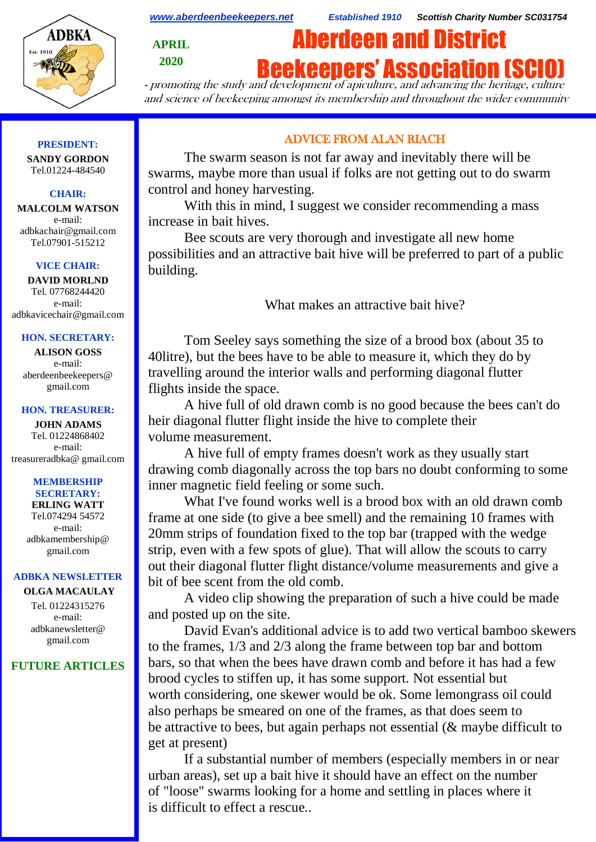

*[www.aberdeenbeekeepers.net](http://www.aberdeenbeekeepers.net/) Established 1910 Scottish Charity Number SC031754*

**APRIL 2020**

# Aberdeen and District **Beekeepers' Association (SCI**

- promoting the study and development of apiculture, and advancing the heritage, culture and science of beekeeping amongst its membership and throughout the wider community

# **PRESIDENT:**

**SANDY GORDON** Tel.01224-484540

# **CHAIR:**

**MALCOLM WATSON** e-mail: adbkachair@gmail.com Tel.07901-515212

#### **VICE CHAIR:**

**DAVID MORLND** Tel. 07768244420 e-mail: adbkavicechair@gmail.com

#### **HON. SECRETARY:**

**ALISON GOSS**  e-mail: aberdeenbeekeepers@ gmail.com

#### **HON. TREASURER:**

**JOHN ADAMS** Tel. 01224868402 e-mail: [treasureradbka@ gmail.com](https://e.mail.ru/compose/?mailto=mailto%3atreasureradbka@gmail.com)

#### **MEMBERSHIP SECRETARY:**

**ERLING WATT** Tel.074294 54572 e-mail: [adbkamembership@](mailto:watterlingg@aol.com) [gmail.com](mailto:watterlingg@aol.com)

# **ADBKA NEWSLETTER**

**OLGA MACAULAY** Tel. 01224315276 e-mail: adbkanewsletter@ gmail.com

# **FUTURE ARTICLES**

# ADVICE FROM ALAN RIACH

The swarm season is not far away and inevitably there will be swarms, maybe more than usual if folks are not getting out to do swarm control and honey harvesting.

With this in mind, I suggest we consider recommending a mass increase in bait hives.

Bee scouts are very thorough and investigate all new home possibilities and an attractive bait hive will be preferred to part of a public building.

What makes an attractive bait hive?

Tom Seeley says something the size of a brood box (about 35 to 40litre), but the bees have to be able to measure it, which they do by travelling around the interior walls and performing diagonal flutter flights inside the space.

A hive full of old drawn comb is no good because the bees can't do heir diagonal flutter flight inside the hive to complete their volume measurement.

A hive full of empty frames doesn't work as they usually start drawing comb diagonally across the top bars no doubt conforming to some inner magnetic field feeling or some such.

What I've found works well is a brood box with an old drawn comb frame at one side (to give a bee smell) and the remaining 10 frames with 20mm strips of foundation fixed to the top bar (trapped with the wedge strip, even with a few spots of glue). That will allow the scouts to carry out their diagonal flutter flight distance/volume measurements and give a bit of bee scent from the old comb.

A video clip showing the preparation of such a hive could be made and posted up on the site.

David Evan's additional advice is to add two vertical bamboo skewers to the frames, 1/3 and 2/3 along the frame between top bar and bottom bars, so that when the bees have drawn comb and before it has had a few brood cycles to stiffen up, it has some support. Not essential but worth considering, one skewer would be ok. Some lemongrass oil could also perhaps be smeared on one of the frames, as that does seem to be attractive to bees, but again perhaps not essential (& maybe difficult to get at present)

If a substantial number of members (especially members in or near urban areas), set up a bait hive it should have an effect on the number of "loose" swarms looking for a home and settling in places where it is difficult to effect a rescue..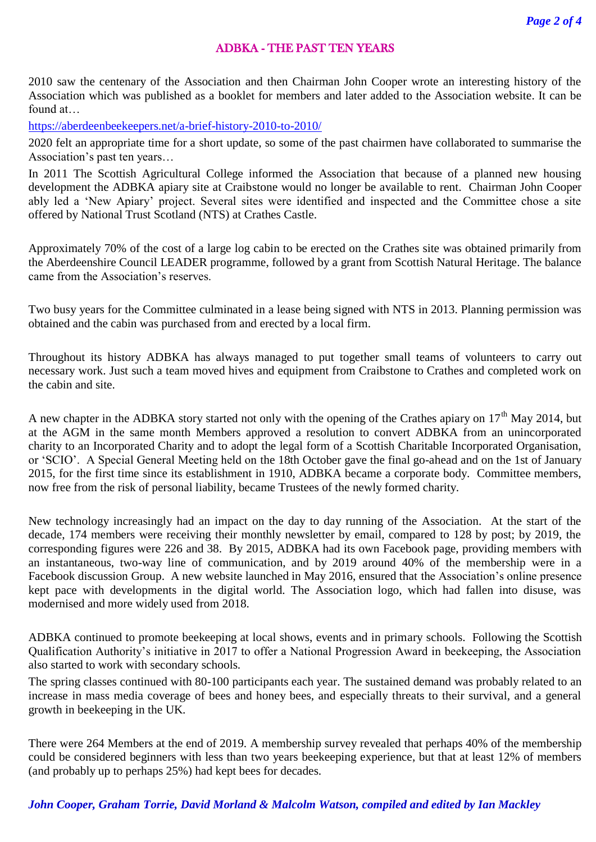# ADBKA - THE PAST TEN YEARS

2010 saw the centenary of the Association and then Chairman John Cooper wrote an interesting history of the Association which was published as a booklet for members and later added to the Association website. It can be found at…

<https://aberdeenbeekeepers.net/a-brief-history-2010-to-2010/>

2020 felt an appropriate time for a short update, so some of the past chairmen have collaborated to summarise the Association's past ten years…

In 2011 The Scottish Agricultural College informed the Association that because of a planned new housing development the ADBKA apiary site at Craibstone would no longer be available to rent. Chairman John Cooper ably led a 'New Apiary' project. Several sites were identified and inspected and the Committee chose a site offered by National Trust Scotland (NTS) at Crathes Castle.

Approximately 70% of the cost of a large log cabin to be erected on the Crathes site was obtained primarily from the Aberdeenshire Council LEADER programme, followed by a grant from Scottish Natural Heritage. The balance came from the Association's reserves.

Two busy years for the Committee culminated in a lease being signed with NTS in 2013. Planning permission was obtained and the cabin was purchased from and erected by a local firm.

Throughout its history ADBKA has always managed to put together small teams of volunteers to carry out necessary work. Just such a team moved hives and equipment from Craibstone to Crathes and completed work on the cabin and site.

A new chapter in the ADBKA story started not only with the opening of the Crathes apiary on 17<sup>th</sup> May 2014, but at the AGM in the same month Members approved a resolution to convert ADBKA from an unincorporated charity to an Incorporated Charity and to adopt the legal form of a Scottish Charitable Incorporated Organisation, or 'SCIO'. A Special General Meeting held on the 18th October gave the final go-ahead and on the 1st of January 2015, for the first time since its establishment in 1910, ADBKA became a corporate body. Committee members, now free from the risk of personal liability, became Trustees of the newly formed charity.

New technology increasingly had an impact on the day to day running of the Association. At the start of the decade, 174 members were receiving their monthly newsletter by email, compared to 128 by post; by 2019, the corresponding figures were 226 and 38. By 2015, ADBKA had its own Facebook page, providing members with an instantaneous, two-way line of communication, and by 2019 around 40% of the membership were in a Facebook discussion Group. A new website launched in May 2016, ensured that the Association's online presence kept pace with developments in the digital world. The Association logo, which had fallen into disuse, was modernised and more widely used from 2018.

ADBKA continued to promote beekeeping at local shows, events and in primary schools. Following the Scottish Qualification Authority's initiative in 2017 to offer a National Progression Award in beekeeping, the Association also started to work with secondary schools.

The spring classes continued with 80-100 participants each year. The sustained demand was probably related to an increase in mass media coverage of bees and honey bees, and especially threats to their survival, and a general growth in beekeeping in the UK.

There were 264 Members at the end of 2019. A membership survey revealed that perhaps 40% of the membership could be considered beginners with less than two years beekeeping experience, but that at least 12% of members (and probably up to perhaps 25%) had kept bees for decades.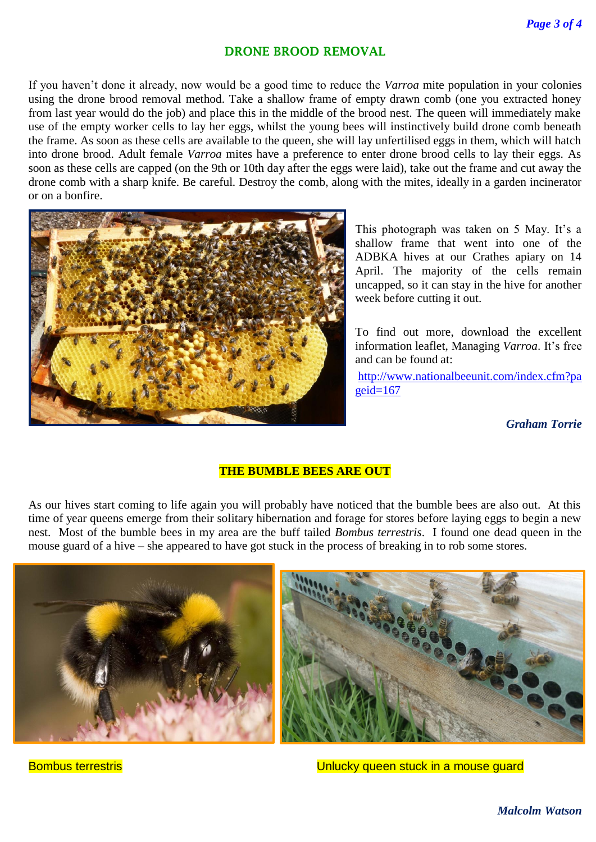# **DRONE BROOD REMOVAL**

If you haven't done it already, now would be a good time to reduce the *Varroa* mite population in your colonies using the drone brood removal method. Take a shallow frame of empty drawn comb (one you extracted honey from last year would do the job) and place this in the middle of the brood nest. The queen will immediately make use of the empty worker cells to lay her eggs, whilst the young bees will instinctively build drone comb beneath the frame. As soon as these cells are available to the queen, she will lay unfertilised eggs in them, which will hatch into drone brood. Adult female *Varroa* mites have a preference to enter drone brood cells to lay their eggs. As soon as these cells are capped (on the 9th or 10th day after the eggs were laid), take out the frame and cut away the drone comb with a sharp knife. Be careful. Destroy the comb, along with the mites, ideally in a garden incinerator or on a bonfire.



This photograph was taken on 5 May. It's a shallow frame that went into one of the ADBKA hives at our Crathes apiary on 14 April. The majority of the cells remain uncapped, so it can stay in the hive for another week before cutting it out.

To find out more, download the excellent information leaflet, Managing *Varroa*. It's free and can be found at:

[http://www.nationalbeeunit.com/index.cfm?pa](http://www.nationalbeeunit.com/index.cfm?pageid=167)  $geid=167$ 

*Graham Torrie*

# **THE BUMBLE BEES ARE OUT**

As our hives start coming to life again you will probably have noticed that the bumble bees are also out. At this time of year queens emerge from their solitary hibernation and forage for stores before laying eggs to begin a new nest. Most of the bumble bees in my area are the buff tailed *Bombus terrestris*. I found one dead queen in the mouse guard of a hive – she appeared to have got stuck in the process of breaking in to rob some stores.



Bombus terrestris Unlucky queen stuck in a mouse guard